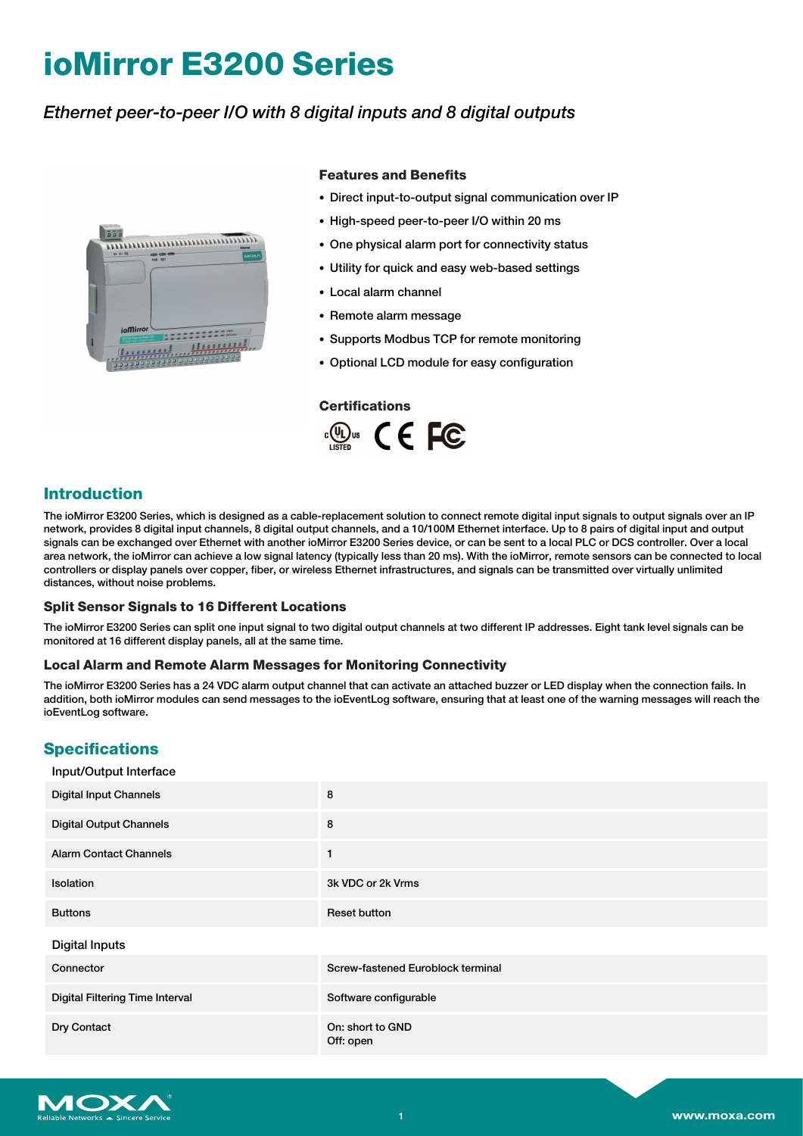# **ioMirror E3200 Series**

# *Ethernet peer-to-peer I/O with 8 digital inputs and 8 digital outputs*



#### **Features and Benefits**

- Direct input-to-output signal communication over IP
- High-speed peer-to-peer I/O within 20 ms
- One physical alarm port for connectivity status
- Utility for quick and easy web-based settings
- Local alarm channel
- Remote alarm message
- Supports Modbus TCP for remote monitoring
- Optional LCD module for easy configuration

#### **Certifications**



## **Introduction**

The ioMirror E3200 Series, which is designed as a cable-replacement solution to connect remote digital input signals to output signals over an IP network, provides 8 digital input channels, 8 digital output channels, and a 10/100M Ethernet interface. Up to 8 pairs of digital input and output signals can be exchanged over Ethernet with another ioMirror E3200 Series device, or can be sent to a local PLC or DCS controller. Over a local area network, the ioMirror can achieve a low signal latency (typically less than 20 ms). With the ioMirror, remote sensors can be connected to local controllers or display panels over copper, fiber, or wireless Ethernet infrastructures, and signals can be transmitted over virtually unlimited distances, without noise problems.

#### **Split Sensor Signals to 16 Different Locations**

The ioMirror E3200 Series can split one input signal to two digital output channels at two different IP addresses. Eight tank level signals can be monitored at 16 different display panels, all at the same time.

#### **Local Alarm and Remote Alarm Messages for Monitoring Connectivity**

The ioMirror E3200 Series has a 24 VDC alarm output channel that can activate an attached buzzer or LED display when the connection fails. In addition, both ioMirror modules can send messages to the ioEventLog software, ensuring that at least one of the warning messages will reach the ioEventLog software.

## **Specifications**

| Input/Output Interface          |                                   |
|---------------------------------|-----------------------------------|
| <b>Digital Input Channels</b>   | 8                                 |
| <b>Digital Output Channels</b>  | 8                                 |
| <b>Alarm Contact Channels</b>   | $\mathbf{1}$                      |
| Isolation                       | 3k VDC or 2k Vrms                 |
| <b>Buttons</b>                  | <b>Reset button</b>               |
| <b>Digital Inputs</b>           |                                   |
| Connector                       | Screw-fastened Euroblock terminal |
| Digital Filtering Time Interval | Software configurable             |
| Dry Contact                     | On: short to GND<br>Off: open     |

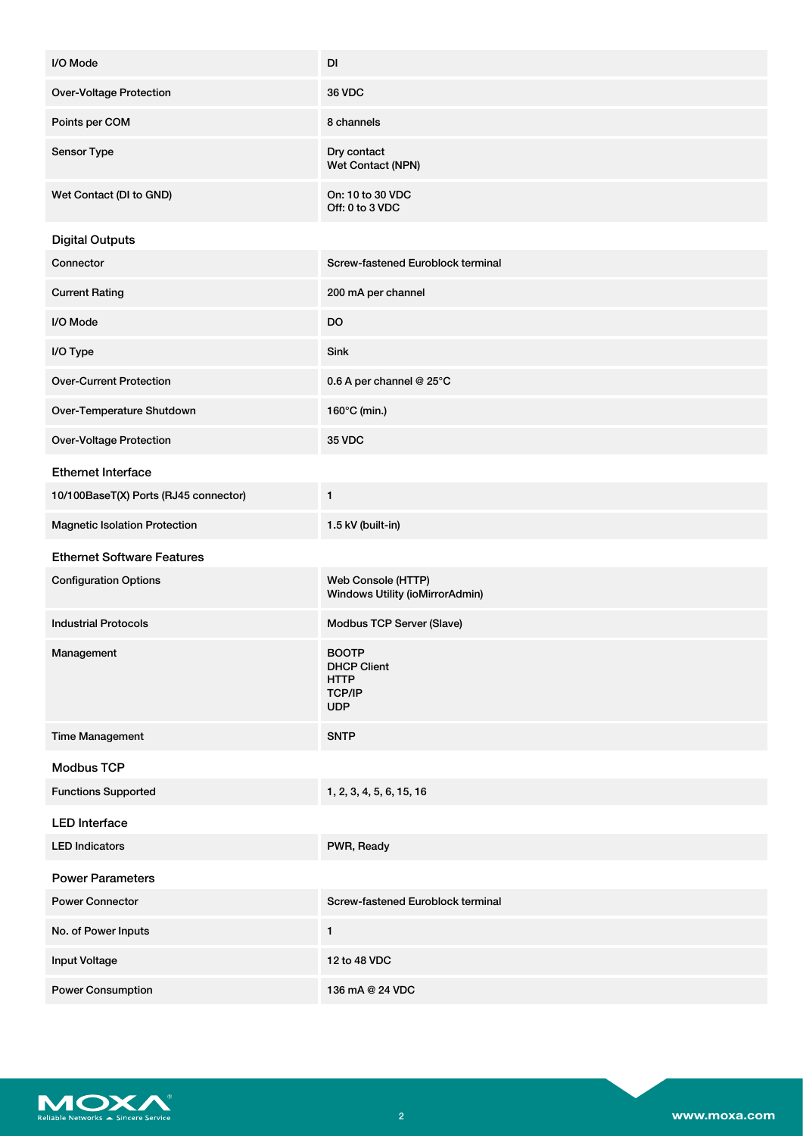| I/O Mode                              | DI                                                                               |
|---------------------------------------|----------------------------------------------------------------------------------|
| <b>Over-Voltage Protection</b>        | <b>36 VDC</b>                                                                    |
| Points per COM                        | 8 channels                                                                       |
| Sensor Type                           | Dry contact<br>Wet Contact (NPN)                                                 |
| Wet Contact (DI to GND)               | On: 10 to 30 VDC<br>Off: 0 to 3 VDC                                              |
| <b>Digital Outputs</b>                |                                                                                  |
| Connector                             | Screw-fastened Euroblock terminal                                                |
| <b>Current Rating</b>                 | 200 mA per channel                                                               |
| I/O Mode                              | DO                                                                               |
| I/O Type                              | Sink                                                                             |
| <b>Over-Current Protection</b>        | 0.6 A per channel @ 25°C                                                         |
| Over-Temperature Shutdown             | 160°C (min.)                                                                     |
| <b>Over-Voltage Protection</b>        | <b>35 VDC</b>                                                                    |
| <b>Ethernet Interface</b>             |                                                                                  |
| 10/100BaseT(X) Ports (RJ45 connector) | 1                                                                                |
| <b>Magnetic Isolation Protection</b>  | 1.5 kV (built-in)                                                                |
| <b>Ethernet Software Features</b>     |                                                                                  |
| <b>Configuration Options</b>          | Web Console (HTTP)<br>Windows Utility (ioMirrorAdmin)                            |
| <b>Industrial Protocols</b>           | Modbus TCP Server (Slave)                                                        |
| Management                            | <b>BOOTP</b><br><b>DHCP Client</b><br><b>HTTP</b><br><b>TCP/IP</b><br><b>UDP</b> |
| <b>Time Management</b>                | <b>SNTP</b>                                                                      |
| <b>Modbus TCP</b>                     |                                                                                  |
| <b>Functions Supported</b>            | 1, 2, 3, 4, 5, 6, 15, 16                                                         |
| <b>LED Interface</b>                  |                                                                                  |
| <b>LED Indicators</b>                 | PWR, Ready                                                                       |
| <b>Power Parameters</b>               |                                                                                  |
| <b>Power Connector</b>                | Screw-fastened Euroblock terminal                                                |
| No. of Power Inputs                   | $\mathbf{1}$                                                                     |
| <b>Input Voltage</b>                  | 12 to 48 VDC                                                                     |
| <b>Power Consumption</b>              | 136 mA @ 24 VDC                                                                  |

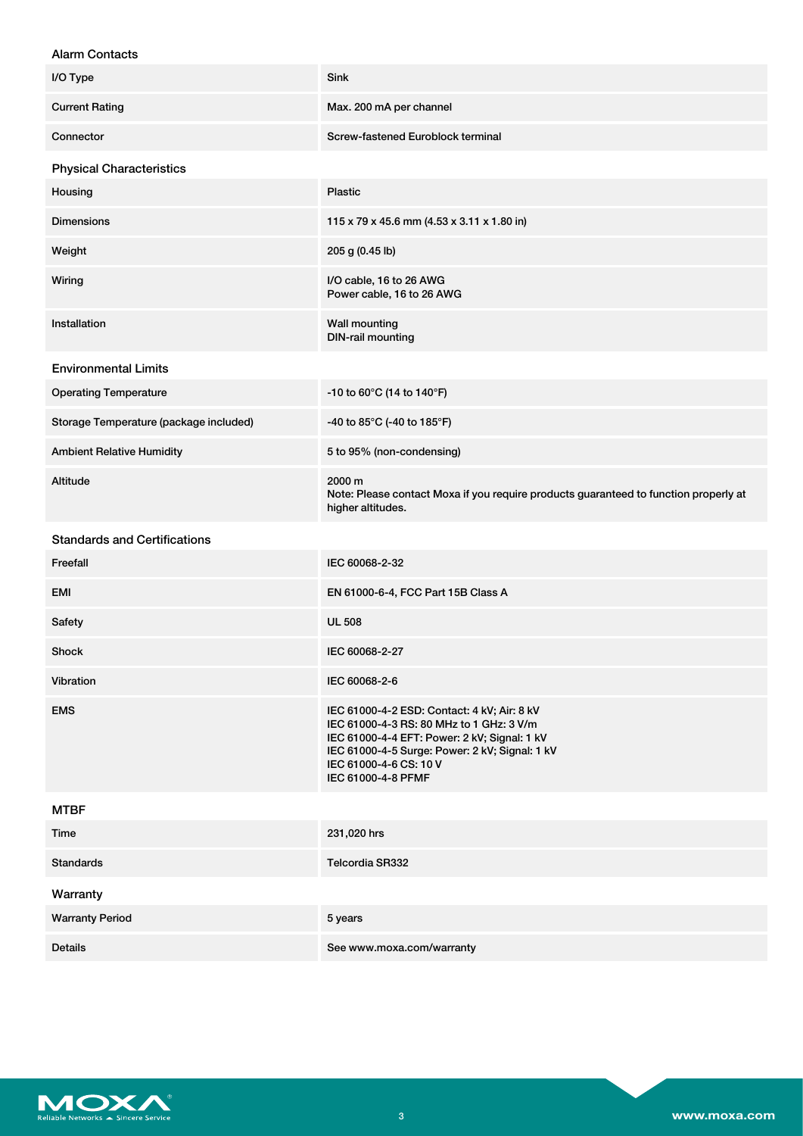### Alarm Contacts

| הועו ווי טטוונעטנט                     |                                                                                                                                                                                                                                           |  |
|----------------------------------------|-------------------------------------------------------------------------------------------------------------------------------------------------------------------------------------------------------------------------------------------|--|
| I/O Type                               | Sink                                                                                                                                                                                                                                      |  |
| <b>Current Rating</b>                  | Max. 200 mA per channel                                                                                                                                                                                                                   |  |
| Connector                              | Screw-fastened Euroblock terminal                                                                                                                                                                                                         |  |
| <b>Physical Characteristics</b>        |                                                                                                                                                                                                                                           |  |
| Housing                                | <b>Plastic</b>                                                                                                                                                                                                                            |  |
| <b>Dimensions</b>                      | 115 x 79 x 45.6 mm (4.53 x 3.11 x 1.80 in)                                                                                                                                                                                                |  |
| Weight                                 | 205 g (0.45 lb)                                                                                                                                                                                                                           |  |
| Wiring                                 | I/O cable, 16 to 26 AWG<br>Power cable, 16 to 26 AWG                                                                                                                                                                                      |  |
| Installation                           | <b>Wall mounting</b><br><b>DIN-rail mounting</b>                                                                                                                                                                                          |  |
| <b>Environmental Limits</b>            |                                                                                                                                                                                                                                           |  |
| <b>Operating Temperature</b>           | -10 to 60°C (14 to 140°F)                                                                                                                                                                                                                 |  |
| Storage Temperature (package included) | -40 to 85°C (-40 to 185°F)                                                                                                                                                                                                                |  |
| <b>Ambient Relative Humidity</b>       | 5 to 95% (non-condensing)                                                                                                                                                                                                                 |  |
| Altitude                               | 2000 m<br>Note: Please contact Moxa if you require products guaranteed to function properly at<br>higher altitudes.                                                                                                                       |  |
| <b>Standards and Certifications</b>    |                                                                                                                                                                                                                                           |  |
| Freefall                               | IEC 60068-2-32                                                                                                                                                                                                                            |  |
| <b>EMI</b>                             | EN 61000-6-4, FCC Part 15B Class A                                                                                                                                                                                                        |  |
| Safety                                 | <b>UL 508</b>                                                                                                                                                                                                                             |  |
| Shock                                  | IEC 60068-2-27                                                                                                                                                                                                                            |  |
| Vibration                              | IEC 60068-2-6                                                                                                                                                                                                                             |  |
| <b>EMS</b>                             | IEC 61000-4-2 ESD: Contact: 4 kV; Air: 8 kV<br>IEC 61000-4-3 RS: 80 MHz to 1 GHz: 3 V/m<br>IEC 61000-4-4 EFT: Power: 2 kV; Signal: 1 kV<br>IEC 61000-4-5 Surge: Power: 2 kV; Signal: 1 kV<br>IEC 61000-4-6 CS: 10 V<br>IEC 61000-4-8 PFMF |  |
| <b>MTBF</b>                            |                                                                                                                                                                                                                                           |  |
| Time                                   | 231,020 hrs                                                                                                                                                                                                                               |  |
| <b>Standards</b>                       | Telcordia SR332                                                                                                                                                                                                                           |  |
| Warranty                               |                                                                                                                                                                                                                                           |  |
| <b>Warranty Period</b>                 | 5 years                                                                                                                                                                                                                                   |  |
| <b>Details</b>                         | See www.moxa.com/warranty                                                                                                                                                                                                                 |  |